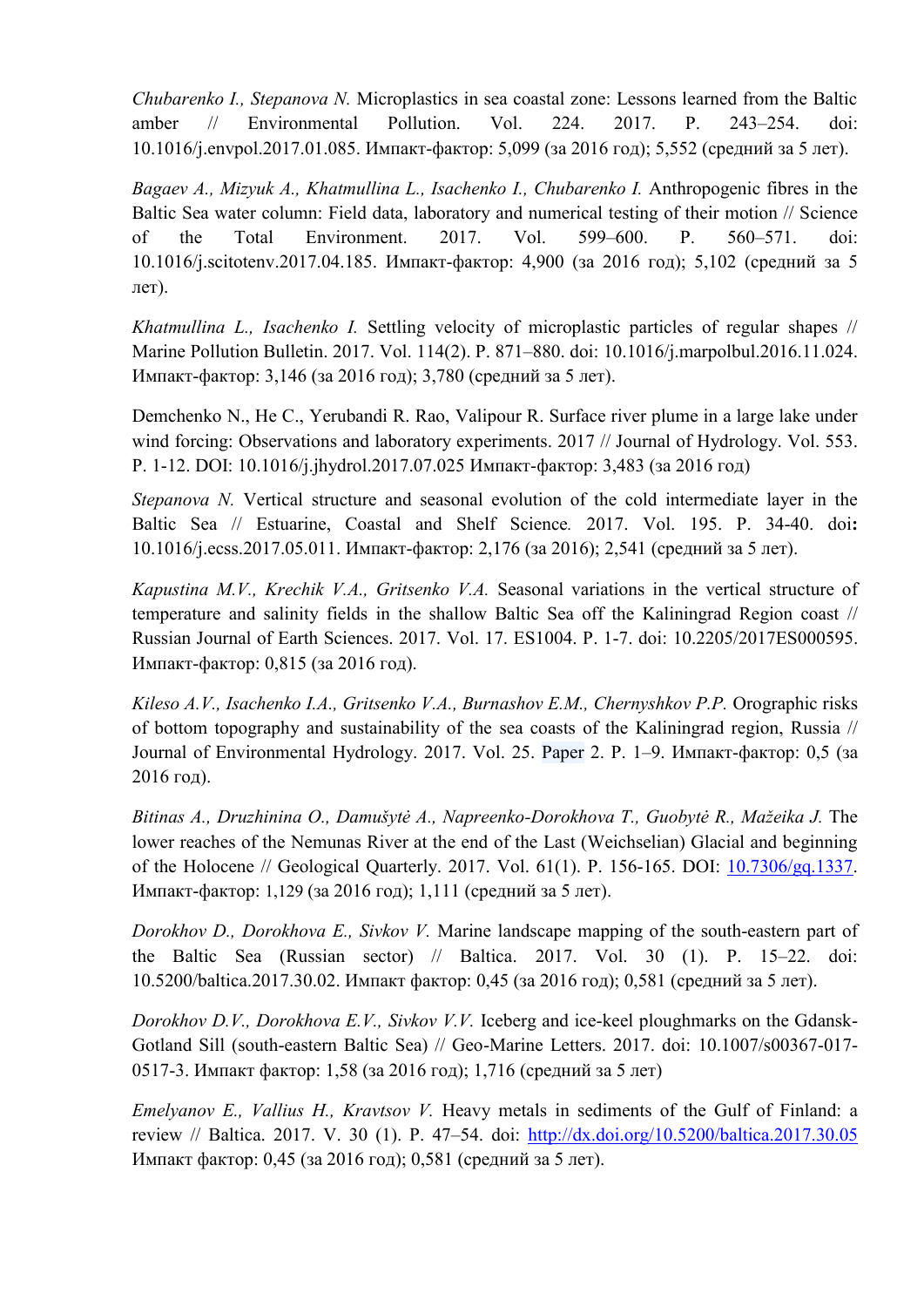*Chubarenko I., Stepanova N.* Microplastics in sea coastal zone: Lessons learned from the Baltic amber // Environmental Pollution. Vol. 224. 2017. Р. 243–254. doi: 10.1016/j.envpol.2017.01.085. Импакт-фактор: 5,099 (за 2016 год); 5,552 (средний за 5 лет).

*Bagaev A., Mizyuk A., Khatmullina L., Isachenko I., Chubarenko I.* Anthropogenic fibres in the Baltic Sea water column: Field data, laboratory and numerical testing of their motion // Science of the Total Environment. 2017. Vol. 599–600. P. 560–571. doi: 10.1016/j.scitotenv.2017.04.185. Импакт-фактор: 4,900 (за 2016 год); 5,102 (средний за 5 лет).

*Khatmullina L., Isachenko I.* Settling velocity of microplastic particles of regular shapes // Marine Pollution Bulletin. 2017. Vol. 114(2). P. 871–880. doi: 10.1016/j.marpolbul.2016.11.024. Импакт-фактор: 3,146 (за 2016 год); 3,780 (средний за 5 лет).

Demchenko N., He C., Yerubandi R. Rao, Valipour R. Surface river plume in a large lake under wind forcing: Observations and laboratory experiments. 2017 // Journal of Hydrology. Vol. 553. P. 1-12. DOI: 10.1016/j.jhydrol.2017.07.025 Импакт-фактор: 3,483 (за 2016 год)

*Stepanova N.* Vertical structure and seasonal evolution of the cold intermediate layer in the Baltic Sea // Estuarine, Coastal and Shelf Science*.* 2017. Vol. 195. P. 34-40. doi**:** 10.1016/j.ecss.2017.05.011. Импакт-фактор: 2,176 (за 2016); 2,541 (средний за 5 лет).

*Kapustina M.V., Krechik V.A., Gritsenko V.A.* Seasonal variations in the vertical structure of temperature and salinity fields in the shallow Baltic Sea off the Kaliningrad Region coast // Russian Journal of Earth Sciences. 2017. Vol. 17. ES1004. P. 1-7. doi: 10.2205/2017ES000595. Импакт-фактор: 0,815 (за 2016 год).

*Kileso A.V., Isachenko I.A., Gritsenko V.A., Burnashov E.M., Chernyshkov P.P.* Orographic risks of bottom topography and sustainability of the sea coasts of the Kaliningrad region, Russia // Journal of Environmental Hydrology. 2017. Vol. 25. Paper 2. P. 1–9. Импакт-фактор: 0,5 (за 2016 год).

*Bitinas A., Druzhinina O., Damušytė A., Napreenko-Dorokhova T., Guobytė R., Mažeika J.* The lower reaches оf the Nemunas River at the end of the Last (Weichselian) Glacial and beginning of the Holocene // Geological Quarterly. 2017. Vol. 61(1). P. 156-165. DOI: [10.7306/gq.1337.](http://dx.doi.org/10.7306/gq.1337) Импакт-фактор: 1,129 (за 2016 год); 1,111 (средний за 5 лет).

*Dorokhov D., Dorokhova E., Sivkov V.* Marine landscape mapping of the south-eastern part of the Baltic Sea (Russian sector) // Baltica. 2017. Vol. 30 (1). P. 15–22. doi: 10.5200/baltica.2017.30.02. Импакт фактор: 0,45 (за 2016 год); 0,581 (средний за 5 лет).

*Dorokhov D.V., Dorokhova E.V., Sivkov V.V.* Iceberg and ice-keel ploughmarks on the Gdansk-Gotland Sill (south-eastern Baltic Sea) // Geo-Marine Letters. 2017. doi: 10.1007/s00367-017- 0517-3. Импакт фактор: 1,58 (за 2016 год); 1,716 (средний за 5 лет)

*Emelyanov E., Vallius H., Kravtsov V.* Heavy metals in sediments of the Gulf of Finland: a review // Baltica. 2017. V. 30 (1). P. 47–54. doi:<http://dx.doi.org/10.5200/baltica.2017.30.05> Импакт фактор: 0,45 (за 2016 год); 0,581 (средний за 5 лет).